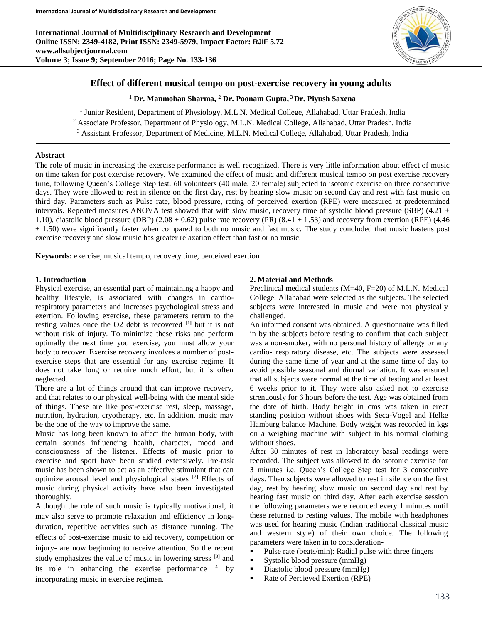**International Journal of Multidisciplinary Research and Development Online ISSN: 2349-4182, Print ISSN: 2349-5979, Impact Factor: RJIF 5.72 www.allsubjectjournal.com Volume 3; Issue 9; September 2016; Page No. 133-136**



### **Effect of different musical tempo on post-exercise recovery in young adults**

**<sup>1</sup> Dr. Manmohan Sharma, <sup>2</sup> Dr. Poonam Gupta, <sup>3</sup> Dr. Piyush Saxena**

<sup>1</sup> Junior Resident, Department of Physiology, M.L.N. Medical College, Allahabad, Uttar Pradesh, India

<sup>2</sup> Associate Professor, Department of Physiology, M.L.N. Medical College, Allahabad, Uttar Pradesh, India

<sup>3</sup> Assistant Professor, Department of Medicine, M.L.N. Medical College, Allahabad, Uttar Pradesh, India

#### **Abstract**

The role of music in increasing the exercise performance is well recognized. There is very little information about effect of music on time taken for post exercise recovery. We examined the effect of music and different musical tempo on post exercise recovery time, following Queen's College Step test. 60 volunteers (40 male, 20 female) subjected to isotonic exercise on three consecutive days. They were allowed to rest in silence on the first day, rest by hearing slow music on second day and rest with fast music on third day. Parameters such as Pulse rate, blood pressure, rating of perceived exertion (RPE) were measured at predetermined intervals. Repeated measures ANOVA test showed that with slow music, recovery time of systolic blood pressure (SBP) (4.21  $\pm$ 1.10), diastolic blood pressure (DBP) (2.08  $\pm$  0.62) pulse rate recovery (PR) (8.41  $\pm$  1.53) and recovery from exertion (RPE) (4.46)  $\pm$  1.50) were significantly faster when compared to both no music and fast music. The study concluded that music hastens post exercise recovery and slow music has greater relaxation effect than fast or no music.

**Keywords:** exercise, musical tempo, recovery time, perceived exertion

#### **1. Introduction**

Physical exercise, an essential part of maintaining a happy and healthy lifestyle, is associated with changes in cardiorespiratory parameters and increases psychological stress and exertion. Following exercise, these parameters return to the resting values once the O2 debt is recovered [1**]** but it is not without risk of injury. To minimize these risks and perform optimally the next time you exercise, you must allow your body to recover. Exercise recovery involves a number of postexercise steps that are essential for any exercise regime. It does not take long or require much effort, but it is often neglected.

There are a lot of things around that can improve recovery, and that relates to our physical well-being with the mental side of things. These are like post-exercise rest, sleep, massage, nutrition, hydration, cryotherapy, etc. In addition, music may be the one of the way to improve the same.

Music has long been known to affect the human body, with certain sounds influencing health, character, mood and consciousness of the listener. Effects of music prior to exercise and sport have been studied extensively. Pre-task music has been shown to act as an effective stimulant that can optimize arousal level and physiological states [2] Effects of music during physical activity have also been investigated thoroughly.

Although the role of such music is typically motivational, it may also serve to promote relaxation and efficiency in longduration, repetitive activities such as distance running. The effects of post-exercise music to aid recovery, competition or injury- are now beginning to receive attention. So the recent study emphasizes the value of music in lowering stress [3] and its role in enhancing the exercise performance [4] by incorporating music in exercise regimen.

#### **2. Material and Methods**

Preclinical medical students (M=40, F=20) of M.L.N. Medical College, Allahabad were selected as the subjects. The selected subjects were interested in music and were not physically challenged.

An informed consent was obtained. A questionnaire was filled in by the subjects before testing to confirm that each subject was a non-smoker, with no personal history of allergy or any cardio- respiratory disease, etc. The subjects were assessed during the same time of year and at the same time of day to avoid possible seasonal and diurnal variation. It was ensured that all subjects were normal at the time of testing and at least 6 weeks prior to it. They were also asked not to exercise strenuously for 6 hours before the test. Age was obtained from the date of birth. Body height in cms was taken in erect standing position without shoes with Seca-Vogel and Helke Hamburg balance Machine. Body weight was recorded in kgs on a weighing machine with subject in his normal clothing without shoes.

After 30 minutes of rest in laboratory basal readings were recorded. The subject was allowed to do isotonic exercise for 3 minutes i.e. Queen's College Step test for 3 consecutive days. Then subjects were allowed to rest in silence on the first day, rest by hearing slow music on second day and rest by hearing fast music on third day. After each exercise session the following parameters were recorded every 1 minutes until these returned to resting values. The mobile with headphones was used for hearing music (Indian traditional classical music and western style) of their own choice. The following parameters were taken in to consideration-

- Pulse rate (beats/min): Radial pulse with three fingers
- Systolic blood pressure  $(mmHg)$
- Diastolic blood pressure (mmHg)
- Rate of Percieved Exertion (RPE)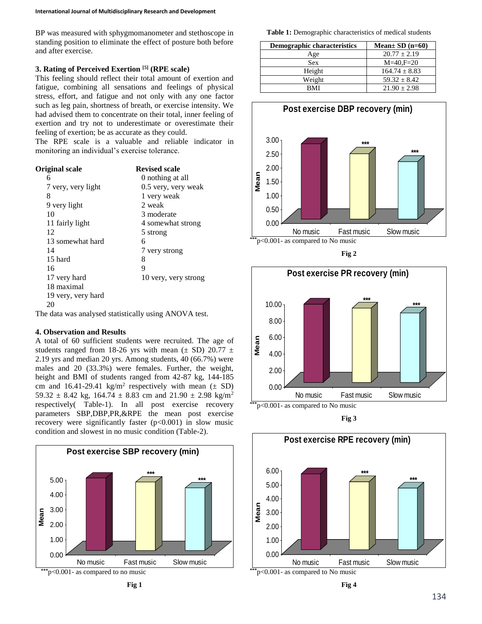BP was measured with sphygmomanometer and stethoscope in standing position to eliminate the effect of posture both before and after exercise.

## **3. Rating of Perceived Exertion [5] (RPE scale)**

This feeling should reflect their total amount of exertion and fatigue, combining all sensations and feelings of physical stress, effort, and fatigue and not only with any one factor such as leg pain, shortness of breath, or exercise intensity. We had advised them to concentrate on their total, inner feeling of exertion and try not to underestimate or overestimate their feeling of exertion; be as accurate as they could.

The RPE scale is a valuable and reliable indicator in monitoring an individual's exercise tolerance.

| <b>Revised scale</b> |  |  |  |
|----------------------|--|--|--|
| 0 nothing at all     |  |  |  |
| 0.5 very, very weak  |  |  |  |
| 1 very weak          |  |  |  |
| 2 weak               |  |  |  |
| 3 moderate           |  |  |  |
| 4 somewhat strong    |  |  |  |
| 5 strong             |  |  |  |
| 6                    |  |  |  |
| 7 very strong        |  |  |  |
| 8                    |  |  |  |
| 9                    |  |  |  |
| 10 very, very strong |  |  |  |
|                      |  |  |  |
|                      |  |  |  |
|                      |  |  |  |
|                      |  |  |  |

The data was analysed statistically using ANOVA test.

# **4. Observation and Results**

A total of 60 sufficient students were recruited. The age of students ranged from 18-26 yrs with mean ( $\pm$  SD) 20.77  $\pm$ 2.19 yrs and median 20 yrs. Among students, 40 (66.7%) were males and 20 (33.3%) were females. Further, the weight, height and BMI of students ranged from 42-87 kg, 144-185 cm and  $16.41 - 29.41$  kg/m<sup>2</sup> respectively with mean  $(\pm SD)$ 59.32  $\pm$  8.42 kg, 164.74  $\pm$  8.83 cm and 21.90  $\pm$  2.98 kg/m<sup>2</sup> respectively( Table-1). In all post exercise recovery parameters SBP,DBP,PR,&RPE the mean post exercise recovery were significantly faster  $(p<0.001)$  in slow music condition and slowest in no music condition (Table-2).



**Table 1:** Demographic characteristics of medical students

| <b>Demographic characteristics</b> | Mean $\pm$ SD (n=60) |
|------------------------------------|----------------------|
| Age                                | $20.77 + 2.19$       |
| <b>Sex</b>                         | $M=40.F=20$          |
| Height                             | $164.74 \pm 8.83$    |
| Weight                             | $59.32 \pm 8.42$     |
| RMI                                | $21.90 + 2.98$       |



**Fig 2**



**Fig 3**



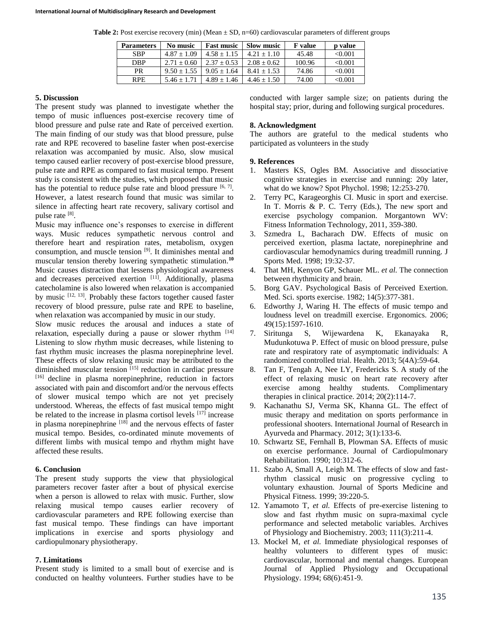**Table 2:** Post exercise recovery (min) (Mean  $\pm$  SD, n=60) cardiovascular parameters of different groups

| <b>Parameters</b> | No music      | <b>Fast music</b> | <b>Slow music</b> | <b>F</b> value | <b>p</b> value |
|-------------------|---------------|-------------------|-------------------|----------------|----------------|
| <b>SBP</b>        | $4.87 + 1.09$ | $4.58 + 1.15$     | $4.21 + 1.10$     | 45.48          | < 0.001        |
| <b>DBP</b>        | $2.71 + 0.60$ | $2.37 + 0.53$     | $2.08 + 0.62$     | 100.96         | < 0.001        |
| PR                | $9.50 + 1.55$ | $9.05 + 1.64$     | $8.41 + 1.53$     | 74.86          | < 0.001        |
| <b>RPE</b>        | $5.46 + 1.71$ | $4.89 + 1.46$     | $4.46 + 1.50$     | 74.00          | < 0.001        |

#### **5. Discussion**

The present study was planned to investigate whether the tempo of music influences post-exercise recovery time of blood pressure and pulse rate and Rate of perceived exertion. The main finding of our study was that blood pressure, pulse rate and RPE recovered to baseline faster when post-exercise relaxation was accompanied by music. Also, slow musical tempo caused earlier recovery of post-exercise blood pressure, pulse rate and RPE as compared to fast musical tempo. Present study is consistent with the studies, which proposed that music has the potential to reduce pulse rate and blood pressure  $[6, 7]$ . However, a latest research found that music was similar to silence in affecting heart rate recovery, salivary cortisol and pulse rate [8].

Music may influence one's responses to exercise in different ways. Music reduces sympathetic nervous control and therefore heart and respiration rates, metabolism, oxygen consumption, and muscle tension [9]. It diminishes mental and muscular tension thereby lowering sympathetic stimulation.**<sup>10</sup>** Music causes distraction that lessens physiological awareness and decreases perceived exertion [11]. Additionally, plasma catecholamine is also lowered when relaxation is accompanied by music <sup>[12, 13]</sup>. Probably these factors together caused faster recovery of blood pressure, pulse rate and RPE to baseline, when relaxation was accompanied by music in our study.

Slow music reduces the arousal and induces a state of relaxation, especially during a pause or slower rhythm [14] Listening to slow rhythm music decreases, while listening to fast rhythm music increases the plasma norepinephrine level. These effects of slow relaxing music may be attributed to the diminished muscular tension [15] reduction in cardiac pressure [16] decline in plasma norepinephrine, reduction in factors associated with pain and discomfort and/or the nervous effects of slower musical tempo which are not yet precisely understood. Whereas, the effects of fast musical tempo might be related to the increase in plasma cortisol levels [17] increase in plasma norepinephrine [18] and the nervous effects of faster musical tempo. Besides, co-ordinated minute movements of different limbs with musical tempo and rhythm might have affected these results.

#### **6. Conclusion**

The present study supports the view that physiological parameters recover faster after a bout of physical exercise when a person is allowed to relax with music. Further, slow relaxing musical tempo causes earlier recovery of cardiovascular parameters and RPE following exercise than fast musical tempo. These findings can have important implications in exercise and sports physiology and cardiopulmonary physiotherapy.

## **7. Limitations**

Present study is limited to a small bout of exercise and is conducted on healthy volunteers. Further studies have to be

conducted with larger sample size; on patients during the hospital stay; prior, during and following surgical procedures.

## **8. Acknowledgment**

The authors are grateful to the medical students who participated as volunteers in the study

## **9. References**

- 1. Masters KS, Ogles BM. Associative and dissociative cognitive strategies in exercise and running: 20y later, what do we know? Spot Phychol. 1998; 12:253-270.
- 2. Terry PC, Karageorghis CI. Music in sport and exercise. In T. Morris & P. C. Terry (Eds.), The new sport and exercise psychology companion. Morgantown WV: Fitness Information Technology, 2011, 359-380.
- 3. Szmedra L, Bacharach DW. Effects of music on perceived exertion, plasma lactate, norepinephrine and cardiovascular hemodynamics during treadmill running. J Sports Med. 1998; 19:32-37.
- 4. That MH, Kenyon GP, Schauer ML. *et al.* The connection between rhythmicity and brain.
- 5. Borg GAV. Psychological Basis of Perceived Exertion. Med. Sci. sports exercise. 1982; 14(5):377-381.
- 6. Edworthy J, Waring H. The effects of music tempo and loudness level on treadmill exercise. Ergonomics. 2006; 49(15):1597-1610.
- 7. Siritunga S, Wijewardena K, Ekanayaka R, Mudunkotuwa P. Effect of music on blood pressure, pulse rate and respiratory rate of asymptomatic individuals: A randomized controlled trial. Health. 2013; 5(4A):59-64.
- 8. Tan F, Tengah A, Nee LY, Fredericks S. A study of the effect of relaxing music on heart rate recovery after exercise among healthy students. Complimentary therapies in clinical practice. 2014; 20(2):114-7.
- 9. Kachanathu SJ, Verma SK, Khanna GL. The effect of music therapy and meditation on sports performance in professional shooters. International Journal of Research in Ayurveda and Pharmacy. 2012; 3(1):133-6.
- 10. Schwartz SE, Fernhall B, Plowman SA. Effects of music on exercise performance. Journal of Cardiopulmonary Rehabilitation. 1990; 10:312-6.
- 11. Szabo A, Small A, Leigh M. The effects of slow and fastrhythm classical music on progressive cycling to voluntary exhaustion. Journal of Sports Medicine and Physical Fitness. 1999; 39:220-5.
- 12. Yamamoto T, *et al.* Effects of pre-exercise listening to slow and fast rhythm music on supra-maximal cycle performance and selected metabolic variables. Archives of Physiology and Biochemistry. 2003; 111(3):211-4.
- 13. Mockel M, *et al.* Immediate physiological responses of healthy volunteers to different types of music: cardiovascular, hormonal and mental changes. European Journal of Applied Physiology and Occupational Physiology. 1994; 68(6):451-9.